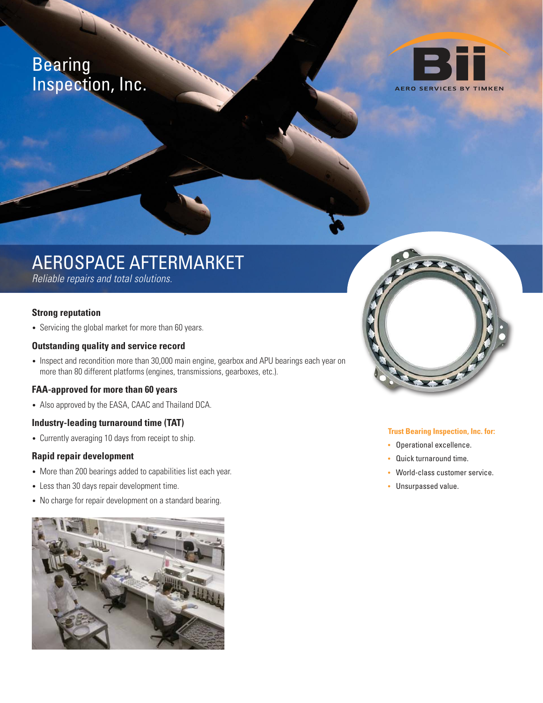## Bearing Inspection, Inc.



# AEROSPACE AFTERMARKET

Reliable repairs and total solutions.

## **Strong reputation**

• Servicing the global market for more than 60 years.

### **Outstanding quality and service record**

• Inspect and recondition more than 30,000 main engine, gearbox and APU bearings each year on more than 80 different platforms (engines, transmissions, gearboxes, etc.).

### **FAA-approved for more than 60 years**

• Also approved by the EASA, CAAC and Thailand DCA.

## **Industry-leading turnaround time (TAT)**

• Currently averaging 10 days from receipt to ship.

### **Rapid repair development**

- More than 200 bearings added to capabilities list each year.
- Less than 30 days repair development time.
- No charge for repair development on a standard bearing.





#### **Trust Bearing Inspection, Inc. for:**

- Operational excellence.
- Quick turnaround time.
- World-class customer service.
- Unsurpassed value.